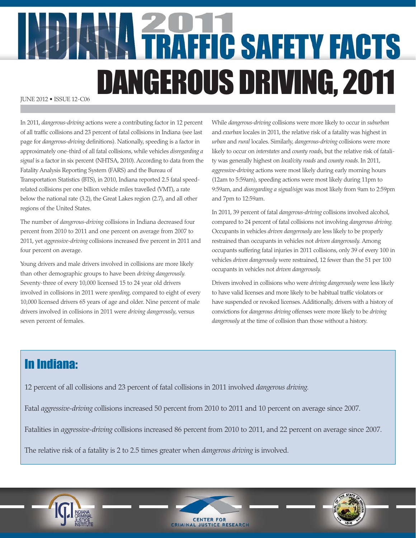# **ANALITRAFFIC SAFETY FACTS** DANGEROUS DRIVING, 2011

In 2011, *dangerous-driving* actions were a contributing factor in 12 percent of all traffic collisions and 23 percent of fatal collisions in Indiana (see last page for *dangerous-driving* definitions). Nationally, speeding is a factor in approximately one-third of all fatal collisions, while vehicles *disregarding a signal* is a factor in six percent (NHTSA, 2010). According to data from the Fatality Analysis Reporting System (FARS) and the Bureau of Transportation Statistics (BTS), in 2010, Indiana reported 2.5 fatal speedrelated collisions per one billion vehicle miles travelled (VMT), a rate below the national rate (3.2), the Great Lakes region (2.7), and all other regions of the United States.

The number of *dangerous-driving* collisions in Indiana decreased four percent from 2010 to 2011 and one percent on average from 2007 to 2011, yet *aggressive-driving* collisions increased five percent in 2011 and four percent on average.

Young drivers and male drivers involved in collisions are more likely than other demographic groups to have been *driving dangerously.* Seventy-three of every 10,000 licensed 15 to 24 year old drivers involved in collisions in 2011 were *speeding*, compared to eight of every 10,000 licensed drivers 65 years of age and older. Nine percent of male drivers involved in collisions in 2011 were *driving dangerously*, versus seven percent of females.

While *dangerous-driving* collisions were more likely to occur in *suburban* and *exurban* locales in 2011, the relative risk of a fatality was highest in *urban* and *rural* locales. Similarly, *dangerous-driving* collisions were more likely to occur on *interstates* and *county roads*, but the relative risk of fatality was generally highest on *local/city roads* and *county roads*. In 2011, *aggressive-driving* actions were most likely during early morning hours (12am to 5:59am), speeding actions were most likely during 11pm to 9:59am, and *disregarding a signal/sign* was most likely from 9am to 2:59pm and 7pm to 12:59am.

In 2011, 39 percent of fatal *dangerous-driving* collisions involved alcohol, compared to 24 percent of fatal collisions not involving *dangerous driving.* Occupants in vehicles *driven dangerously* are less likely to be properly restrained than occupants in vehicles not *driven dangerously.* Among occupants suffering fatal injuries in 2011 collisions, only 39 of every 100 in vehicles *driven dangerously* were restrained, 12 fewer than the 51 per 100 occupants in vehicles not *driven dangerously.*

Drivers involved in collisions who were *driving dangerously* were less likely to have valid licenses and more likely to be habitual traffic violators or have suspended or revoked licenses. Additionally, drivers with a history of convictions for *dangerous driving* offenses were more likely to be *driving dangerously* at the time of collision than those without a history.

## In Indiana:

12 percent of all collisions and 23 percent of fatal collisions in 2011 involved *dangerous driving.*

Fatal *aggressive-driving* collisions increased 50 percent from 2010 to 2011 and 10 percent on average since 2007.

Fatalities in *aggressive-driving* collisions increased 86 percent from 2010 to 2011, and 22 percent on average since 2007.

The relative risk of a fatality is 2 to 2.5 times greater when *dangerous driving* is involved.





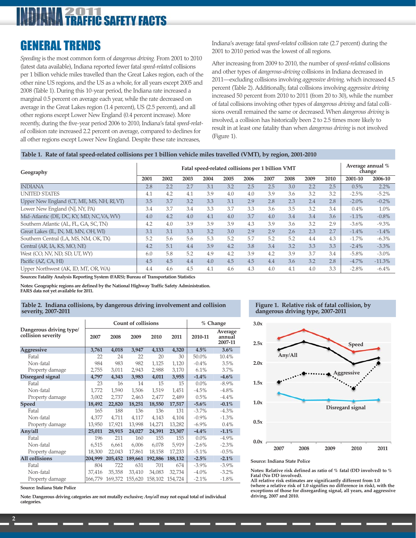### 2011 **FIC SAFETY FACTS**

## GENERAL TRENDS

*Speeding* is the most common form of *dangerous driving.* From 2001 to 2010 (latest data available), Indiana reported fewer fatal *speed-related* collisions per 1 billion vehicle miles travelled than the Great Lakes region, each of the other nine US regions, and the US as a whole, for all years except 2005 and 2008 (Table 1). During this 10-year period, the Indiana rate increased a marginal 0.5 percent on average each year, while the rate decreased on average in the Great Lakes region (1.4 percent), US (2.5 percent), and all other regions except Lower New England (0.4 percent increase). More recently, during the five-year period 2006 to 2010, Indiana's fatal *speed-related* collision rate increased 2.2 percent on average, compared to declines for all other regions except Lower New England. Despite these rate increases,

Indiana's average fatal *speed-related* collision rate (2.7 percent) during the 2001 to 2010 period was the lowest of all regions.

After increasing from 2009 to 2010, the number of *speed-related* collisions and other types of *dangerous-driving* collisions in Indiana decreased in 2011—excluding collisions involving *aggressive driving,* which increased 4.5 percent (Table 2). Additionally, fatal collisions involving *aggressive driving* increased 50 percent from 2010 to 2011 (from 20 to 30), while the number of fatal collisions involving other types of *dangerous driving* and fatal collisions overall remained the same or decreased. When *dangerous driving* is involved, a collision has historically been 2 to 2.5 times more likely to result in at least one fatality than when *dangerous driving* is not involved (Figure 1).

#### **Table 1. Rate of fatal speed-related collisions per 1 billion vehicle miles travelled (VMT), by region, 2001-2010**

| Geography                                  | Fatal speed-related collisions per 1 billion VMT |      |      |      |      |      |      |      | Average annual %<br>change |      |          |          |
|--------------------------------------------|--------------------------------------------------|------|------|------|------|------|------|------|----------------------------|------|----------|----------|
|                                            | 2001                                             | 2002 | 2003 | 2004 | 2005 | 2006 | 2007 | 2008 | 2009                       | 2010 | 2001-10  | 2006-10  |
| <b>INDIANA</b>                             | 2.8                                              | 2.2  | 2.7  | 3.1  | 3.2  | 2.5  | 2.5  | 3.0  | 2.2                        | 2.5  | 0.5%     | 2.2%     |
| <b>UNITED STATES</b>                       | 4.1                                              | 4.2  | 4.1  | 3.9  | 4.0  | 4.0  | 3.9  | 3.6  | 3.2                        | 3.2  | $-2.5%$  | $-5.2\%$ |
| Upper New England (CT, ME, MS, NH, RI, VT) | 3.5                                              | 3.7  | 3.2  | 3.3  | 3.1  | 2.9  | 2.8  | 2.3  | 2.4                        | 2.8  | $-2.0\%$ | $-0.2\%$ |
| Lower New England (NJ, NY, PA)             | 3.4                                              | 3.7  | 3.4  | 3.3  | 3.7  | 3.3  | 3.6  | 3.5  | 3.2                        | 3.4  | 0.4%     | 1.0%     |
| Mid-Atlantic (DE, DC, KY, MD, NC, VA, WV)  | 4.0                                              | 4.2  | 4.0  | 4.1  | 4.0  | 3.7  | 4.0  | 3.4  | 3.4                        | 3.6  | $-1.1%$  | $-0.8\%$ |
| Southern Atlantic (AL, FL, GA, SC, TN)     | 4.2                                              | 4.0  | 3.9  | 3.9  | 3.9  | 4.3  | 3.9  | 3.6  | 3.2                        | 2.9  | $-3.6\%$ | $-9.3\%$ |
| Great Lakes (IL, IN, MI, MN, OH, WI)       | 3.1                                              | 3.1  | 3.3  | 3.2  | 3.0  | 2.9  | 2.9  | 2.6  | 2.3                        | 2.7  | $-1.4%$  | $-1.4%$  |
| Southern Central (LA, MS, NM, OK, TX)      | 5.2                                              | 5.6  | 5.6  | 5.3  | 5.2  | 5.7  | 5.2  | 5.2  | 4.4                        | 4.3  | $-1.7%$  | $-6.3\%$ |
| Central (AR, IA, KS, MO, NE)               | 4.2                                              | 5.1  | 4.4  | 3.9  | 4.2  | 3.8  | 3.4  | 3.2  | 3.3                        | 3.3  | $-2.4%$  | $-3.3\%$ |
| West (CO, NV, ND, SD, UT, WY)              | 6.0                                              | 5.8  | 5.2  | 4.9  | 4.2  | 3.9  | 4.2  | 3.9  | 3.7                        | 3.4  | $-5.8\%$ | $-3.0\%$ |
| Pacific (AZ, CA, HI)                       | 4.5                                              | 4.5  | 4.4  | 4.0  | 4.5  | 4.5  | 4.4  | 3.6  | 3.2                        | 2.8  | $-4.7%$  | $-11.3%$ |
| Upper Northwest (AK, ID, MT, OR, WA)       | 4.4                                              | 4.6  | 4.5  | 4.1  | 4.6  | 4.3  | 4.0  | 4.1  | 4.0                        | 3.3  | $-2.8%$  | $-6.4\%$ |

**Sources: Fatality Analysis Reporting System (FARS); Bureau of Transportation Statistics**

**Notes: Geographic regions are defined by the National Highway Traffic Safety Administration. FARS data not yet available for 2011.**

#### **Table 2. Indiana collisions, by dangerous driving involvement and collision severity, 2007-2011**

|                                               |         | <b>Count of collisions</b> |                                 | % Change |         |          |                              |
|-----------------------------------------------|---------|----------------------------|---------------------------------|----------|---------|----------|------------------------------|
| Dangerous driving type/<br>collision severity | 2007    | 2008                       | 2009                            | 2010     | 2011    | 2010-11  | Average<br>annual<br>2007-11 |
| Aggressive                                    | 3,761   | 4,018                      | 3,947                           | 4,133    | 4,320   | 4.5%     | $3.6\%$                      |
| Fatal                                         | 22      | 24                         | 22                              | 20       | 30      | 50.0%    | 10.4%                        |
| Non-fatal                                     | 984     | 983                        | 982                             | 1,125    | 1,120   | $-0.4\%$ | 3.5%                         |
| Property damage                               | 2,755   | 3,011                      | 2,943                           | 2,988    | 3,170   | 6.1%     | 3.7%                         |
| Disregard signal                              | 4,797   | 4,343                      | 3,983                           | 4,011    | 3,955   | $-1.4%$  | $-4.6%$                      |
| Fatal                                         | 23      | 16                         | 14                              | 15       | 15      | $0.0\%$  | $-8.9\%$                     |
| Non-fatal                                     | 1,772   | 1,590                      | 1,506                           | 1,519    | 1,451   | $-4.5\%$ | $-4.8\%$                     |
| Property damage                               | 3,002   | 2,737                      | 2,463                           | 2,477    | 2,489   | $0.5\%$  | $-4.4\%$                     |
| <b>Speed</b>                                  | 18,492  | 22,820                     | 18,251                          | 18,550   | 17,517  | $-5.6\%$ | $-0.1%$                      |
| Fatal                                         | 165     | 188                        | 136                             | 136      | 131     | $-3.7\%$ | $-4.3\%$                     |
| Non-fatal                                     | 4,377   | 4,711                      | 4,117                           | 4,143    | 4,104   | $-0.9\%$ | $-1.3\%$                     |
| Property damage                               | 13,950  | 17,921                     | 13,998                          | 14,271   | 13,282  | $-6.9\%$ | 0.4%                         |
| Any/all                                       | 25,011  | 28,915                     | 24,027                          | 24,391   | 23,307  | $-4.4\%$ | $-1.1%$                      |
| Fatal                                         | 196     | 211                        | 160                             | 155      | 155     | $0.0\%$  | $-4.9%$                      |
| Non-fatal                                     | 6,515   | 6,661                      | 6,006                           | 6,078    | 5,919   | $-2.6\%$ | $-2.3\%$                     |
| Property damage                               | 18,300  | 22,043                     | 17,861                          | 18,158   | 17,233  | $-5.1%$  | $-0.5\%$                     |
| All collisions                                | 204,999 | 205,452                    | 189,661                         | 192,886  | 188,132 | $-2.5%$  | $-2.1%$                      |
| Fatal                                         | 804     | 722                        | 631                             | 701      | 674     | $-3.9\%$ | $-3.9\%$                     |
| Non-fatal                                     | 37,416  | 35,358                     | 33,410                          | 34,083   | 32,734  | $-4.0\%$ | $-3.2\%$                     |
| Property damage                               | 166,779 |                            | 169,372 155,620 158,102 154,724 |          |         | $-2.1%$  | $-1.8\%$                     |

**Source: Indiana State Police**

**Note: Dangerous driving categories are not mutally exclusive;** *Any/all* **may not equal total of individual categories.**

#### **Figure 1. Relative risk of fatal collision, by dangerous driving type, 2007-2011**



#### **Source: Indiana State Police**

**Notes: Relative risk defined as ratio of % fatal (DD involved) to % Fatal (No DD involved).**

**All relative risk estimates are significantly different from 1.0 (where a relative risk of 1.0 signifies no difference in risk), with the exceptions of those for disregarding signal, all years, and aggressive driving, 2007 and 2010.**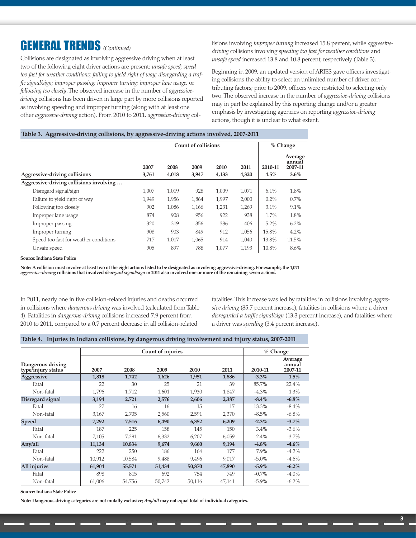## GENERAL TRENDS *(Continued)*

Collisions are designated as involving aggressive driving when at least two of the following eight driver actions are present: *unsafe speed; speed too fast for weather conditions; failing to yield right of way; disregarding a traffic signal/sign; improper passing; improper turning; improper lane usage;* or *following too closely*. The observed increase in the number of *aggressivedriving* collisions has been driven in large part by more collisions reported as involving speeding and improper turning (along with at least one other *aggressive-driving* action). From 2010 to 2011, *aggressive-driving* collisions involving *improper turning* increased 15.8 percent, while *aggressivedriving* collisions involving *speeding too fast for weather conditions* and *unsafe speed* increased 13.8 and 10.8 percent, respectively (Table 3).

Beginning in 2009, an updated version of ARIES gave officers investigating collisions the ability to select an unlimited number of driver contributing factors; prior to 2009, officers were restricted to selecting only two. The observed increase in the number of *aggressive-driving* collisions may in part be explained by this reporting change and/or a greater emphasis by investigating agencies on reporting *aggressive-driving* actions, though it is unclear to what extent.

#### **Table 3. Aggressive-driving collisions, by aggressive-driving actions involved, 2007-2011**

|                                         |       | <b>Count of collisions</b> | % Change |       |       |         |                              |
|-----------------------------------------|-------|----------------------------|----------|-------|-------|---------|------------------------------|
|                                         | 2007  | 2008                       | 2009     | 2010  | 2011  | 2010-11 | Average<br>annual<br>2007-11 |
| Aggressive-driving collisions           | 3,761 | 4,018                      | 3,947    | 4,133 | 4,320 | 4.5%    | $3.6\%$                      |
| Aggressive-driving collisions involving |       |                            |          |       |       |         |                              |
| Disregard signal/sign                   | 1,007 | 1,019                      | 928      | 1,009 | 1,071 | 6.1%    | 1.8%                         |
| Failure to yield right of way           | 1.949 | 1,956                      | 1,864    | 1,997 | 2,000 | 0.2%    | 0.7%                         |
| Following too closely                   | 902   | 1,086                      | 1,166    | 1,231 | 1,269 | 3.1%    | 9.1%                         |
| Improper lane usage                     | 874   | 908                        | 956      | 922   | 938   | 1.7%    | 1.8%                         |
| Improper passing                        | 320   | 319                        | 356      | 386   | 406   | 5.2%    | 6.2%                         |
| Improper turning                        | 908   | 903                        | 849      | 912   | 1,056 | 15.8%   | 4.2%                         |
| Speed too fast for weather conditions   | 717   | 1,017                      | 1,065    | 914   | 1,040 | 13.8%   | 11.5%                        |
| Unsafe speed                            | 905   | 897                        | 788      | 1,077 | 1,193 | 10.8%   | 8.6%                         |

**Source: Indiana State Police**

**Note: A collision must involve at least two of the eight actions listed to be designated as involving aggressive-driving. For example, the 1,071** *aggressive-driving* **collisions that involved** *disregard signal/sign* **in 2011 also involved one or more of the remaining seven actions.**

In 2011, nearly one in five collision-related injuries and deaths occurred in collisions where *dangerous driving* was involved (calculated from Table 4). Fatalities in *dangerous-driving* collisions increased 7.9 percent from 2010 to 2011, compared to a 0.7 percent decrease in all collision-related

fatalities. This increase was led by fatalities in collisions involving *aggressive driving* (85.7 percent increase), fatalities in collisions where a driver *disregarded a traffic signal/sign* (13.3 percent increase), and fatalities where a driver was *speeding* (3.4 percent increase).

#### **Table 4. Injuries in Indiana collisions, by dangerous driving involvement and injury status, 2007-2011**

|                                         |        | <b>Count of injuries</b> |        | % Change |        |          |                              |
|-----------------------------------------|--------|--------------------------|--------|----------|--------|----------|------------------------------|
| Dangerous driving<br>type/injury status | 2007   | 2008                     | 2009   | 2010     | 2011   | 2010-11  | Average<br>annual<br>2007-11 |
| <b>Aggressive</b>                       | 1,818  | 1,742                    | 1,626  | 1,951    | 1,886  | $-3.3\%$ | 1.5%                         |
| Fatal                                   | 22     | 30                       | 25     | 21       | 39     | 85.7%    | 22.4%                        |
| Non-fatal                               | 1.796  | 1.712                    | 1,601  | 1,930    | 1,847  | $-4.3\%$ | 1.3%                         |
| Disregard signal                        | 3,194  | 2,721                    | 2,576  | 2,606    | 2,387  | $-8.4\%$ | $-6.8\%$                     |
| Fatal                                   | 27     | 16                       | 16     | 15       | 17     | 13.3%    | $-8.4\%$                     |
| Non-fatal                               | 3,167  | 2.705                    | 2,560  | 2,591    | 2,370  | $-8.5\%$ | $-6.8\%$                     |
| <b>Speed</b>                            | 7,292  | 7,516                    | 6,490  | 6,352    | 6,209  | $-2.3%$  | $-3.7\%$                     |
| Fatal                                   | 187    | 225                      | 158    | 145      | 150    | $3.4\%$  | $-3.6\%$                     |
| Non-fatal                               | 7,105  | 7,291                    | 6,332  | 6,207    | 6,059  | $-2.4%$  | $-3.7\%$                     |
| Any/all                                 | 11,134 | 10,834                   | 9,674  | 9,660    | 9,194  | $-4.8\%$ | $-4.6\%$                     |
| Fatal                                   | 222    | 250                      | 186    | 164      | 177    | 7.9%     | $-4.2\%$                     |
| Non-fatal                               | 10.912 | 10.584                   | 9.488  | 9.496    | 9.017  | $-5.0\%$ | $-4.6\%$                     |
| All injuries                            | 61,904 | 55,571                   | 51,434 | 50,870   | 47,890 | $-5.9\%$ | $-6.2\%$                     |
| Fatal                                   | 898    | 815                      | 692    | 754      | 749    | $-0.7\%$ | $-4.0\%$                     |
| Non-fatal                               | 61,006 | 54,756                   | 50,742 | 50,116   | 47,141 | $-5.9\%$ | $-6.2\%$                     |

**Source: Indiana State Police**

**Note: Dangerous driving categories are not mutally exclusive;** *Any/all* **may not equal total of individual categories.**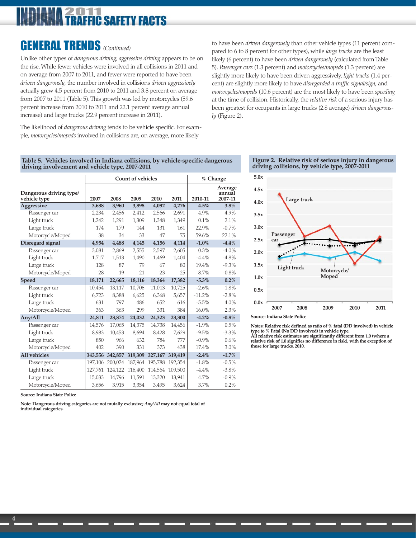### 011 **C SAFFTY FACTS**

## GENERAL TRENDS *(Continued)*

Unlike other types of *dangerous driving, aggressive driving* appears to be on the rise. While fewer vehicles were involved in all collisions in 2011 and on average from 2007 to 2011, and fewer were reported to have been *driven dangerously*, the number involved in collisions *driven aggressively* actually grew 4.5 percent from 2010 to 2011 and 3.8 percent on average from 2007 to 2011 (Table 5). This growth was led by motorcycles (59.6 percent increase from 2010 to 2011 and 22.1 percent average annual increase) and large trucks (22.9 percent increase in 2011).

The likelihood of *dangerous driving* tends to be vehicle specific. For example, *motorcycles/mopeds* involved in collisions are, on average, more likely

to have been *driven dangerously* than other vehicle types (11 percent compared to 6 to 8 percent for other types), while *large trucks* are the least likely (6 percent) to have been *driven dangerously* (calculated from Table 5). *Passenger cars* (1.3 percent) and *motorcycles/mopeds* (1.3 percent) are slightly more likely to have been driven aggressively, *light trucks* (1.4 percent) are slightly more likely to have *disregarded a traffic signal/sign*, and *motorcycles/mopeds* (10.6 percent) are the most likely to have been *speeding* at the time of collision. Historically, the *relative risk* of a serious injury has been greatest for occupants in large trucks (2.8 average) *driven dangerously* (Figure 2).

#### **Table 5. Vehicles involved in Indiana collisions, by vehicle-specific dangerous driving involvement and vehicle type, 2007-2011**

|                                         |         | <b>Count of vehicles</b> |         | % Change |         |          |                              |
|-----------------------------------------|---------|--------------------------|---------|----------|---------|----------|------------------------------|
| Dangerous driving type/<br>vehicle type | 2007    | 2008                     | 2009    | 2010     | 2011    | 2010-11  | Average<br>annual<br>2007-11 |
| <b>Aggressive</b>                       | 3,688   | 3,960                    | 3,898   | 4,092    | 4,276   | 4.5%     | 3.8%                         |
| Passenger car                           | 2,234   | 2,456                    | 2,412   | 2,566    | 2,691   | 4.9%     | 4.9%                         |
| Light truck                             | 1,242   | 1,291                    | 1,309   | 1,348    | 1,349   | 0.1%     | 2.1%                         |
| Large truck                             | 174     | 179                      | 144     | 131      | 161     | 22.9%    | $-0.7%$                      |
| Motorcycle/Moped                        | 38      | 34                       | 33      | 47       | 75      | 59.6%    | 22.1%                        |
| Disregard signal                        | 4,954   | 4,488                    | 4,145   | 4,156    | 4,114   | $-1.0\%$ | $-4.4%$                      |
| Passenger car                           | 3,081   | 2,869                    | 2,555   | 2,597    | 2,605   | 0.3%     | $-4.0\%$                     |
| Light truck                             | 1,717   | 1,513                    | 1,490   | 1,469    | 1,404   | $-4.4%$  | $-4.8%$                      |
| Large truck                             | 128     | 87                       | 79      | 67       | 80      | 19.4%    | $-9.3\%$                     |
| Motorcycle/Moped                        | 28      | 19                       | 21      | 23       | 25      | 8.7%     | $-0.8\%$                     |
| <b>Speed</b>                            | 18,171  | 22,665                   | 18,116  | 18,364   | 17,382  | $-5.3\%$ | $0.2\%$                      |
| Passenger car                           | 10,454  | 13,117                   | 10,706  | 11,013   | 10,725  | $-2.6%$  | 1.8%                         |
| Light truck                             | 6.723   | 8,388                    | 6,625   | 6,368    | 5.657   | $-11.2%$ | $-2.8%$                      |
| Large truck                             | 631     | 797                      | 486     | 652      | 616     | $-5.5\%$ | 4.0%                         |
| Motorcycle/Moped                        | 363     | 363                      | 299     | 331      | 384     | 16.0%    | 2.3%                         |
| Any/All                                 | 24,811  | 28,874                   | 24,032  | 24,323   | 23,300  | $-4.2%$  | $-0.8\%$                     |
| Passenger car                           | 14,576  | 17,065                   | 14,375  | 14,738   | 14,456  | $-1.9%$  | 0.5%                         |
| Light truck                             | 8,983   | 10,453                   | 8,694   | 8,428    | 7,629   | $-9.5%$  | $-3.3\%$                     |
| Large truck                             | 850     | 966                      | 632     | 784      | 777     | $-0.9\%$ | $0.6\%$                      |
| Motorcycle/Moped                        | 402     | 390                      | 331     | 373      | 438     | 17.4%    | 3.0%                         |
| <b>All</b> vehicles                     | 343,556 | 342,857                  | 319,309 | 327,167  | 319,419 | $-2.4%$  | $-1.7%$                      |
| Passenger car                           | 197,106 | 200.024                  | 187,964 | 195,788  | 192.354 | $-1.8\%$ | $-0.5\%$                     |
| Light truck                             | 127,761 | 124,122                  | 116,400 | 114,564  | 109,500 | $-4.4\%$ | $-3.8\%$                     |
| Large truck                             | 15,033  | 14,796                   | 11,591  | 13,320   | 13,941  | 4.7%     | $-0.9\%$                     |
| Motorcycle/Moped                        | 3,656   | 3,915                    | 3,354   | 3,495    | 3,624   | 3.7%     | 0.2%                         |

**Source: Indiana State Police**

**Note: Dangerous driving categories are not mutally exclusive;** *Any/All* **may not equal total of individual categories.**





**Source: Indiana State Police**

**Notes: Relative risk defined as ratio of % fatal (DD involved) in vehicle type to % Fatal (No DD involved) in vehicle type. All relative risk estimates are significantly different from 1.0 (where a**

**relative risk of 1.0 signifies no difference in risk), with the exception of those for large trucks, 2010.**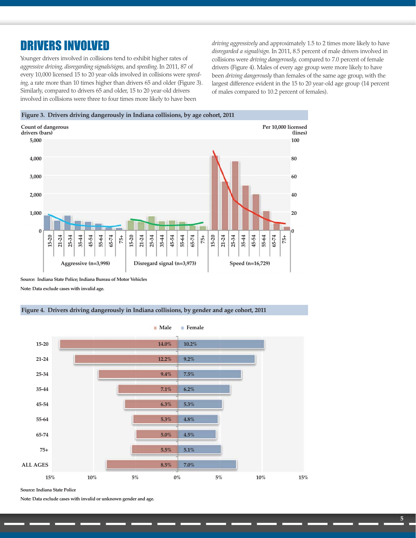## DRIVERS INVOLVED

Younger drivers involved in collisions tend to exhibit higher rates of *aggressive driving, disregarding signals/signs,* and *speeding*. In 2011, 87 of every 10,000 licensed 15 to 20 year-olds involved in collisions were *speeding*, a rate more than 10 times higher than drivers 65 and older (Figure 3). Similarly, compared to drivers 65 and older, 15 to 20 year-old drivers involved in collisions were three to four times more likely to have been

*driving aggressively* and approximately 1.5 to 2 times more likely to have *disregarded a signal/sign*. In 2011, 8.5 percent of male drivers involved in collisions were *driving dangerously,* compared to 7.0 percent of female drivers (Figure 4). Males of every age group were more likely to have been *driving dangerously* than females of the same age group, with the largest difference evident in the 15 to 20 year-old age group (14 percent of males compared to 10.2 percent of females).



**Source: Indiana State Police; Indiana Bureau of Motor Vehicles Note: Data exclude cases with invalid age.**

#### **Figure 4. Drivers driving dangerously in Indiana collisions, by gender and age cohort, 2011**



**Source: Indiana State Police**

**Note: Data exclude cases with invalid or unknown gender and age.**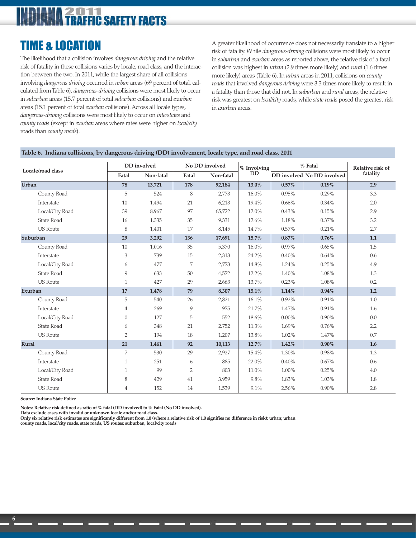## **ZOTTO**<br>**TRAFFIC SAFETY FACTS**

## TIME & LOCATION

The likelihood that a collision involves *dangerous driving* and the relative risk of fatality in these collisions varies by locale, road class, and the interaction between the two. In 2011, while the largest share of all collisions involving *dangerous driving* occurred in *urban* areas (69 percent of total, calculated from Table 6), *dangerous-driving* collisions were most likely to occur in *suburban* areas (15.7 percent of total *suburban* collisions) and *exurban* areas (15.1 percent of total *exurban* collisions). Across all locale types, *dangerous-driving* collisions were most likely to occur on *interstates* and *county roads* (except in *exurban* areas where rates were higher on *local/city* roads than *county roads*).

A greater likelihood of occurrence does not necessarily translate to a higher risk of fatality. While *dangerous-driving* collisions were most likely to occur in *suburban* and *exurban* areas as reported above, the relative risk of a fatal collision was highest in *urban* (2.9 times more likely) and *rural* (1.6 times more likely) areas (Table 6). In *urban* areas in 2011, collisions on *county roads* that involved *dangerous driving* were 3.3 times more likely to result in a fatality than those that did not. In *suburban* and *rural* areas, the relative risk was greatest on *local/city* roads, while *state roads* posed the greatest risk in *exurban* areas.

#### **Locale/road class DD involved No DD involved % Involving DD % Fatal Relative risk of fatality Fatal Non-fatal Fatal Non-fatal DD involved No DD involved Urban 78 13,721 178 92,184 13.0% 0.57% 0.19% 2.9** County Road 5 524 8 2,773 16.0% 0.95% 0.29% 3.3 Interstate 10 1,494 21 6,213 19.4% 0.66% 0.34% 2.0 Local/City Road 39 8,967 97 65,722 12.0% 0.43% 0.15% 2.9 State Road 16 1,335 35 9,331 12.6% 1.18% 0.37% 3.2 US Route 8 1,401 17 8,145 14.7% 0.57% 0.21% 2.7 **Suburban 29 3,292 136 17,691 15.7% 0.87% 0.76% 1.1** County Road 10 1,016 35 5,370 16.0% 0.97% 0.65% 1.5 Interstate 3 739 15 2,313 24.2% 0.40% 0.64% 0.6 Local/City Road 6 477 7 2,773 14.8% 1.24% 0.25% 4.9 State Road 9 633 50 4,572 12.2% 1.40% 1.08% 1.3 US Route 1 1 427 | 29 2,663 | 13.7% | 0.23% 1.08% | 0.2 **Exurban 17 1,478 79 8,307 15.1% 1.14% 0.94% 1.2** County Road 5 540 26 2,821 16.1% 0.92% 0.91% 1.0 Interstate 4 269 9 975 21.7% 1.47% 0.91% 1.6 Local/City Road 0 127 5 552 18.6% 0.00% 0.90% 0.0 State Road 6 348 21 2,752 11.3% 1.69% 0.76% 2.2 US Route 2 194 18 1,207 13.8% 1.02% 1.47% 1.47% 0.7 **Rural 21 1,461 92 10,113 12.7% 1.42% 0.90% 1.6** County Road 7 530 29 2,927 15.4% 1.30% 0.98% 1.3 Interstate 1 1 251 6 885 22.0% 0.40% 0.67% 0.67% 0.6 Local/City Road 1 99 2 803 11.0% 1.00% 0.25% 4.0 State Road 8 429 41 3,959 9.8% 1.83% 1.03% 1.8 US Route 4 152 14 1,539 9.1% 2.56% 0.90% 2.8

**Table 6. Indiana collisions, by dangerous driving (DD) involvement, locale type, and road class, 2011**

**Source: Indiana State Police**

**Notes: Relative risk defined as ratio of % fatal (DD involved) to % Fatal (No DD involved).**

**Data exclude cases with invalid or unknown locale and/or road class.**

**Only six relative risk estimates are significantly different from 1.0 (where a relative risk of 1.0 signifies no difference in risk): urban; urban**

 **county roads, local/city roads, state roads, US routes; suburban, local/city roads**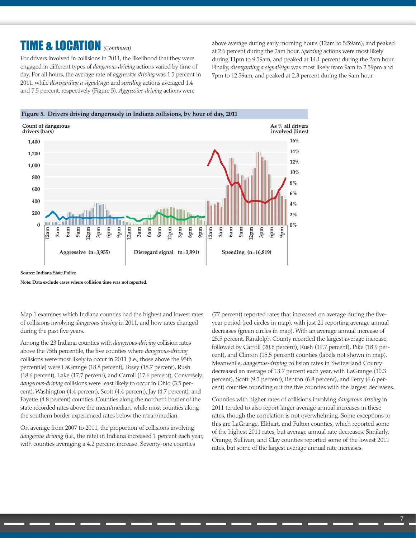## TIME & LOCATION *(Continued)*

For drivers involved in collisions in 2011, the likelihood that they were engaged in different types of *dangerous driving* actions varied by time of day. For all hours, the average rate of *aggressive driving* was 1.5 percent in 2011, while *disregarding a signal/sign* and *speeding* actions averaged 1.4 and 7.5 percent, respectively (Figure 5). *Aggressive-driving* actions were

above average during early morning hours (12am to 5:59am), and peaked at 2.6 percent during the 2am hour. *Speeding* actions were most likely during 11pm to 9:59am, and peaked at 14.1 percent during the 2am hour. Finally, *disregarding a signal/sign* was most likely from 9am to 2:59pm and 7pm to 12:59am, and peaked at 2.3 percent during the 9am hour.





**Source: Indiana State Police**

**Note: Data exclude cases where collision time was not reported.**

Map 1 examines which Indiana counties had the highest and lowest rates of collisions involving *dangerous driving* in 2011, and how rates changed during the past five years*.*

Among the 23 Indiana counties with *dangerous-driving* collision rates above the 75th percentile, the five counties where *dangerous-driving* collisions were most likely to occur in 2011 (i.e., those above the 95th percentile) were LaGrange (18.8 percent), Posey (18.7 percent), Rush (18.6 percent), Lake (17.7 percent), and Carroll (17.6 percent). Conversely, *dangerous-driving* collisions were least likely to occur in Ohio (3.5 percent), Washington (4.4 percent), Scott (4.4 percent), Jay (4.7 percent), and Fayette (4.8 percent) counties. Counties along the northern border of the state recorded rates above the mean/median, while most counties along the southern border experienced rates below the mean/median.

On average from 2007 to 2011, the proportion of collisions involving *dangerous driving* (i.e., the rate) in Indiana increased 1 percent each year, with counties averaging a 4.2 percent increase. Seventy-one counties

(77 percent) reported rates that increased on average during the fiveyear period (red circles in map), with just 21 reporting average annual decreases (green circles in map). With an average annual increase of 25.5 percent, Randolph County recorded the largest average increase, followed by Carroll (20.6 percent), Rush (19.7 percent), Pike (18.9 percent), and Clinton (15.5 percent) counties (labels not shown in map). Meanwhile, *dangerous-driving* collision rates in Switzerland County decreased an average of 13.7 percent each year, with LaGrange (10.3 percent), Scott (9.5 percent), Benton (6.8 percent), and Perry (6.6 percent) counties rounding out the five counties with the largest decreases.

Counties with higher rates of collisions involving *dangerous driving* in 2011 tended to also report larger average annual increases in these rates, though the correlation is not overwhelming. Some exceptions to this are LaGrange, Elkhart, and Fulton counties, which reported some of the highest 2011 rates, but average annual rate decreases. Similarly, Orange, Sullivan, and Clay counties reported some of the lowest 2011 rates, but some of the largest average annual rate increases.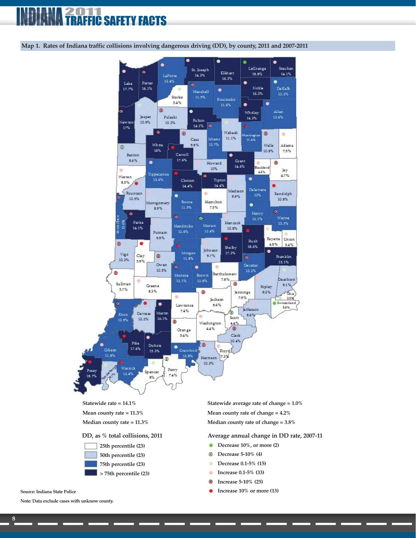### 011 **C SAFETY FACTS**

**Map 1. Rates of Indiana traffic collisions involving dangerous driving (DD), by county, 2011 and 2007-2011**



**Mean county rate = 11.3%**

**Median county rate = 11.3%**



**Mean county rate of change = 4.2% Median county rate of change = 3.8%**

**DD, as % total collisions, 2011 Average annual change in DD rate, 2007-11**

- **Decrease 10%, or more (2)**
- **Decrease 5-10% (4)** ō
- **Decrease 0.1-5% (15)** ۰
- **Increase 0.1-5% (33)** ۰
- **Increase 5-10% (25)** ۵
- **Increase 10% or more (13)**

**Note: Data exclude cases with unknow county.**

**Source: Indiana State Police**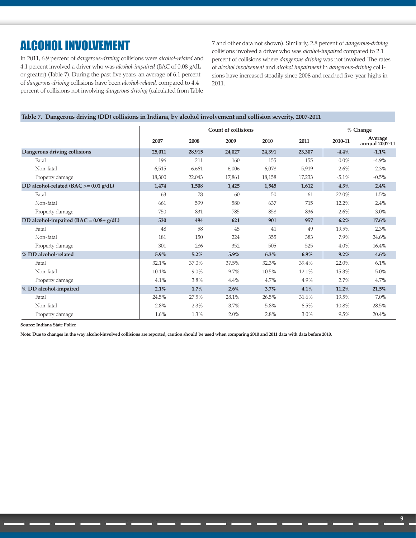## ALCOHOL INVOLVEMENT

In 2011, 6.9 percent of *dangerous-driving* collisions were *alcohol-related* and 4.1 percent involved a driver who was *alcohol-impaired* (BAC of 0.08 g/dL or greater) (Table 7). During the past five years, an average of 6.1 percent of *dangerous-driving* collisions have been *alcohol-related*, compared to 4.4 percent of collisions not involving *dangerous driving* (calculated from Table 7 and other data not shown). Similarly, 2.8 percent of *dangerous-driving* collisions involved a driver who was *alcohol-impaired* compared to 2.1 percent of collisions where *dangerous driving* was not involved. The rates of *alcohol involvement* and *alcohol impairment* in *dangerous-driving* collisions have increased steadily since 2008 and reached five-year highs in 2011.

#### **Table 7. Dangerous driving (DD) collisions in Indiana, by alcohol involvement and collision severity, 2007-2011**

|                                            |        |         | <b>Count of collisions</b> |        |         | % Change |                           |
|--------------------------------------------|--------|---------|----------------------------|--------|---------|----------|---------------------------|
|                                            | 2007   | 2008    | 2009                       | 2010   | 2011    | 2010-11  | Average<br>annual 2007-11 |
| Dangerous driving collisions               | 25,011 | 28,915  | 24,027                     | 24,391 | 23,307  | $-4.4\%$ | $-1.1%$                   |
| Fatal                                      | 196    | 211     | 160                        | 155    | 155     | $0.0\%$  | $-4.9%$                   |
| Non-fatal                                  | 6,515  | 6,661   | 6,006                      | 6,078  | 5,919   | $-2.6\%$ | $-2.3\%$                  |
| Property damage                            | 18,300 | 22,043  | 17,861                     | 18,158 | 17,233  | $-5.1\%$ | $-0.5\%$                  |
| DD alcohol-related (BAC >= 0.01 g/dL)      | 1,474  | 1,508   | 1,425                      | 1,545  | 1,612   | $4.3\%$  | 2.4%                      |
| Fatal                                      | 63     | 78      | 60                         | 50     | 61      | 22.0%    | 1.5%                      |
| Non-fatal                                  | 661    | 599     | 580                        | 637    | 715     | 12.2%    | 2.4%                      |
| Property damage                            | 750    | 831     | 785                        | 858    | 836     | $-2.6%$  | 3.0%                      |
| DD alcohol-impaired (BAC = $0.08 + g/dL$ ) | 530    | 494     | 621                        | 901    | 957     | $6.2\%$  | 17.6%                     |
| Fatal                                      | 48     | 58      | 45                         | 41     | 49      | 19.5%    | 2.3%                      |
| Non-fatal                                  | 181    | 150     | 224                        | 355    | 383     | 7.9%     | 24.6%                     |
| Property damage                            | 301    | 286     | 352                        | 505    | 525     | 4.0%     | 16.4%                     |
| % DD alcohol-related                       | 5.9%   | 5.2%    | 5.9%                       | 6.3%   | $6.9\%$ | 9.2%     | 4.6%                      |
| Fatal                                      | 32.1%  | 37.0%   | 37.5%                      | 32.3%  | 39.4%   | 22.0%    | 6.1%                      |
| Non-fatal                                  | 10.1%  | $9.0\%$ | 9.7%                       | 10.5%  | 12.1%   | 15.3%    | 5.0%                      |
| Property damage                            | 4.1%   | 3.8%    | 4.4%                       | 4.7%   | 4.9%    | 2.7%     | 4.7%                      |
| % DD alcohol-impaired                      | 2.1%   | 1.7%    | 2.6%                       | 3.7%   | 4.1%    | 11.2%    | 21.5%                     |
| Fatal                                      | 24.5%  | 27.5%   | 28.1%                      | 26.5%  | 31.6%   | 19.5%    | 7.0%                      |
| Non-fatal                                  | 2.8%   | 2.3%    | 3.7%                       | 5.8%   | 6.5%    | 10.8%    | 28.5%                     |
| Property damage                            | 1.6%   | 1.3%    | 2.0%                       | 2.8%   | 3.0%    | 9.5%     | 20.4%                     |

**Source: Indiana State Police**

**Note: Due to changes in the way alcohol-involved collisions are reported, caution should be used when comparing 2010 and 2011 data with data before 2010.**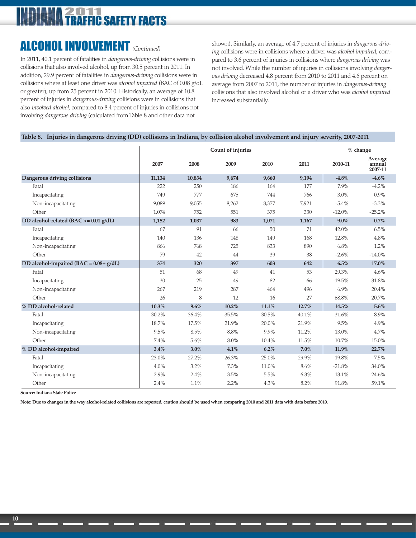## TRAFFIC SAFETY FACTS

## ALCOHOL INVOLVEMENT *(Continued)*

In 2011, 40.1 percent of fatalities in *dangerous-driving* collisions were in collisions that also involved alcohol, up from 30.5 percent in 2011. In addition, 29.9 percent of fatalities in *dangerous-driving* collisions were in collisions where at least one driver was *alcohol impaired* (BAC of 0.08 g/dL or greater), up from 25 percent in 2010. Historically, an average of 10.8 percent of injuries in *dangerous-driving* collisions were in collisions that also *involved alcohol,* compared to 8.4 percent of injuries in collisions not involving *dangerous driving* (calculated from Table 8 and other data not

shown). Similarly, an average of 4.7 percent of injuries in *dangerous-driving* collisions were in collisions where a driver was *alcohol impaired*, compared to 3.6 percent of injuries in collisions where *dangerous driving* was not involved. While the number of injuries in collisions involving *dangerous driving* decreased 4.8 percent from 2010 to 2011 and 4.6 percent on average from 2007 to 2011, the number of injuries in *dangerous-driving* collisions that also involved alcohol or a driver who was *alcohol impaired* increased substantially.

#### **Table 8. Injuries in dangerous driving (DD) collisions in Indiana, by collision alcohol involvement and injury severity, 2007-2011**

|                                            |        |        | Count of injuries |       |       | $%$ change |                              |
|--------------------------------------------|--------|--------|-------------------|-------|-------|------------|------------------------------|
|                                            | 2007   | 2008   | 2009              | 2010  | 2011  | 2010-11    | Average<br>annual<br>2007-11 |
| Dangerous driving collisions               | 11,134 | 10,834 | 9,674             | 9,660 | 9,194 | $-4.8\%$   | $-4.6\%$                     |
| Fatal                                      | 222    | 250    | 186               | 164   | 177   | 7.9%       | $-4.2%$                      |
| Incapacitating                             | 749    | 777    | 675               | 744   | 766   | 3.0%       | 0.9%                         |
| Non-incapacitating                         | 9,089  | 9,055  | 8,262             | 8,377 | 7,921 | $-5.4\%$   | $-3.3\%$                     |
| Other                                      | 1,074  | 752    | 551               | 375   | 330   | $-12.0%$   | $-25.2%$                     |
| DD alcohol-related (BAC >= 0.01 g/dL)      | 1,152  | 1,037  | 983               | 1,071 | 1,167 | $9.0\%$    | 0.7%                         |
| Fatal                                      | 67     | 91     | 66                | 50    | 71    | 42.0%      | 6.5%                         |
| Incapacitating                             | 140    | 136    | 148               | 149   | 168   | 12.8%      | 4.8%                         |
| Non-incapacitating                         | 866    | 768    | 725               | 833   | 890   | 6.8%       | 1.2%                         |
| Other                                      | 79     | 42     | 44                | 39    | 38    | $-2.6%$    | $-14.0%$                     |
| DD alcohol-impaired (BAC = $0.08 + g/dL$ ) | 374    | 320    | 397               | 603   | 642   | 6.5%       | 17.0%                        |
| Fatal                                      | 51     | 68     | 49                | 41    | 53    | 29.3%      | 4.6%                         |
| Incapacitating                             | 30     | 25     | 49                | 82    | 66    | $-19.5%$   | 31.8%                        |
| Non-incapacitating                         | 267    | 219    | 287               | 464   | 496   | 6.9%       | 20.4%                        |
| Other                                      | 26     | 8      | 12                | 16    | 27    | 68.8%      | 20.7%                        |
| % DD alcohol-related                       | 10.3%  | 9.6%   | 10.2%             | 11.1% | 12.7% | 14.5%      | 5.6%                         |
| Fatal                                      | 30.2%  | 36.4%  | 35.5%             | 30.5% | 40.1% | 31.6%      | 8.9%                         |
| Incapacitating                             | 18.7%  | 17.5%  | 21.9%             | 20.0% | 21.9% | 9.5%       | 4.9%                         |
| Non-incapacitating                         | 9.5%   | 8.5%   | 8.8%              | 9.9%  | 11.2% | 13.0%      | 4.7%                         |
| Other                                      | 7.4%   | 5.6%   | 8.0%              | 10.4% | 11.5% | 10.7%      | 15.0%                        |
| % DD alcohol-impaired                      | 3.4%   | 3.0%   | $4.1\%$           | 6.2%  | 7.0%  | 11.9%      | 22.7%                        |
| Fatal                                      | 23.0%  | 27.2%  | 26.3%             | 25.0% | 29.9% | 19.8%      | 7.5%                         |
| Incapacitating                             | 4.0%   | 3.2%   | 7.3%              | 11.0% | 8.6%  | $-21.8%$   | 34.0%                        |
| Non-incapacitating                         | 2.9%   | 2.4%   | 3.5%              | 5.5%  | 6.3%  | 13.1%      | 24.6%                        |
| Other                                      | 2.4%   | 1.1%   | 2.2%              | 4.3%  | 8.2%  | 91.8%      | 59.1%                        |

**Source: Indiana State Police**

**Note: Due to changes in the way alcohol-related collisions are reported, caution should be used when comparing 2010 and 2011 data with data before 2010.**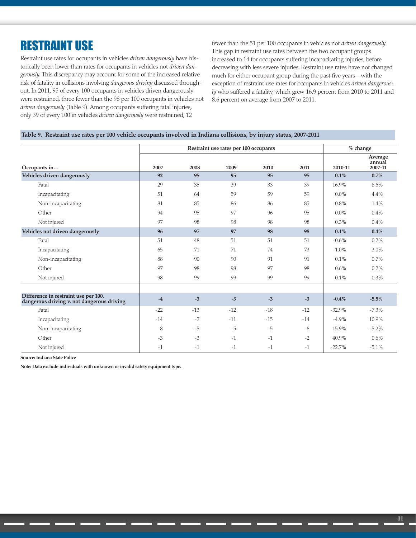## RESTRAINT USE

Restraint use rates for occupants in vehicles *driven dangerously* have historically been lower than rates for occupants in vehicles not *driven dangerously.* This discrepancy may account for some of the increased relative risk of fatality in collisions involving *dangerous driving* discussed throughout. In 2011, 95 of every 100 occupants in vehicles driven dangerously were restrained, three fewer than the 98 per 100 occupants in vehicles not *driven dangerously* (Table 9). Among occupants suffering fatal injuries, only 39 of every 100 in vehicles *driven dangerously* were restrained, 12

fewer than the 51 per 100 occupants in vehicles not *driven dangerously.* This gap in restraint use rates between the two occupant groups increased to 14 for occupants suffering incapacitating injuries, before decreasing with less severe injuries. Restraint use rates have not changed much for either occupant group during the past five years—with the exception of restraint use rates for occupants in vehicles *driven dangerously* who suffered a fatality, which grew 16.9 percent from 2010 to 2011 and 8.6 percent on average from 2007 to 2011.

#### **Table 9. Restraint use rates per 100 vehicle occupants involved in Indiana collisions, by injury status, 2007-2011**

|                                                                                    |       | Restraint use rates per 100 occupants |       | $%$ change |       |          |                              |
|------------------------------------------------------------------------------------|-------|---------------------------------------|-------|------------|-------|----------|------------------------------|
| Occupants in                                                                       | 2007  | 2008                                  | 2009  | 2010       | 2011  | 2010-11  | Average<br>annual<br>2007-11 |
| Vehicles driven dangerously                                                        | 92    | 95                                    | 95    | 95         | 95    | 0.1%     | 0.7%                         |
| Fatal                                                                              | 29    | 35                                    | 39    | 33         | 39    | 16.9%    | 8.6%                         |
| Incapacitating                                                                     | 51    | 64                                    | 59    | 59         | 59    | $0.0\%$  | 4.4%                         |
| Non-incapacitating                                                                 | 81    | 85                                    | 86    | 86         | 85    | $-0.8\%$ | 1.4%                         |
| Other                                                                              | 94    | 95                                    | 97    | 96         | 95    | $0.0\%$  | 0.4%                         |
| Not injured                                                                        | 97    | 98                                    | 98    | 98         | 98    | 0.3%     | 0.4%                         |
| Vehicles not driven dangerously                                                    | 96    | 97                                    | 97    | 98         | 98    | 0.1%     | 0.4%                         |
| Fatal                                                                              | 51    | 48                                    | 51    | 51         | 51    | $-0.6\%$ | 0.2%                         |
| Incapacitating                                                                     | 65    | 71                                    | 71    | 74         | 73    | $-1.0\%$ | 3.0%                         |
| Non-incapacitating                                                                 | 88    | 90                                    | 90    | 91         | 91    | 0.1%     | 0.7%                         |
| Other                                                                              | 97    | 98                                    | 98    | 97         | 98    | $0.6\%$  | 0.2%                         |
| Not injured                                                                        | 98    | 99                                    | 99    | 99         | 99    | 0.1%     | 0.3%                         |
|                                                                                    |       |                                       |       |            |       |          |                              |
| Difference in restraint use per 100,<br>dangerous driving v. not dangerous driving | $-4$  | $-3$                                  | $-3$  | $-3$       | $-3$  | $-0.4%$  | $-5.5%$                      |
| Fatal                                                                              | $-22$ | $-13$                                 | $-12$ | $-18$      | $-12$ | $-32.9%$ | $-7.3\%$                     |
| Incapacitating                                                                     | $-14$ | $-7$                                  | $-11$ | $-15$      | $-14$ | $-4.9%$  | 10.9%                        |
| Non-incapacitating                                                                 | $-8$  | $-5$                                  | $-5$  | $-5$       | $-6$  | 15.9%    | $-5.2\%$                     |
| Other                                                                              | $-3$  | $-3$                                  | $-1$  | $-1$       | $-2$  | 40.9%    | 0.6%                         |
| Not injured                                                                        | $-1$  | $-1$                                  | $-1$  | $-1$       | $-1$  | $-22.7%$ | $-5.1%$                      |

**Source: Indiana State Police**

**Note: Data exclude individuals with unknown or invalid safety equipment type.**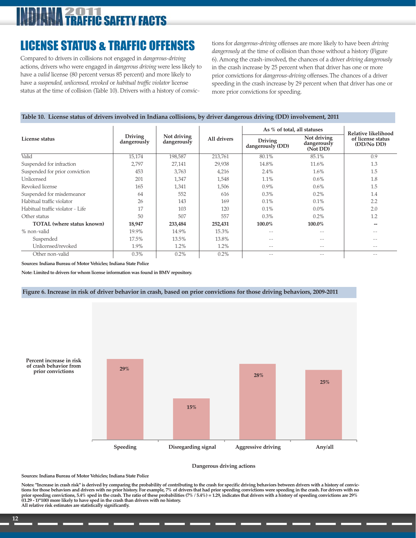## 011 **IC SAFETY FACTS**

## LICENSE STATUS & TRAFFIC OFFENSES

Compared to drivers in collisions not engaged in *dangerous-driving* actions, drivers who were engaged in *dangerous driving* were less likely to have a *valid* license (80 percent versus 85 percent) and more likely to have a *suspended, unlicensed, revoked* or *habitual traffic violator* license status at the time of collision (Table 10). Drivers with a history of convictions for *dangerous-driving* offenses are more likely to have been *driving dangerously* at the time of collision than those without a history (Figure 6). Among the crash-involved, the chances of a driver *driving dangerously* in the crash increase by 25 percent when that driver has one or more prior convictions for *dangerous-driving* offenses. The chances of a driver speeding in the crash increase by 29 percent when that driver has one or more prior convictions for speeding.

#### **Table 10. License status of drivers involved in Indiana collisions, by driver dangerous driving (DD) involvement, 2011**

|                                   |                               |                            |             | As % of total, all statuses        |                                        | Relative likelihood             |
|-----------------------------------|-------------------------------|----------------------------|-------------|------------------------------------|----------------------------------------|---------------------------------|
| License status                    | <b>Driving</b><br>dangerously | Not driving<br>dangerously | All drivers | <b>Driving</b><br>dangerously (DD) | Not driving<br>dangerously<br>(Not DD) | of license status<br>(DD/No DD) |
| Valid                             | 15,174                        | 198,587                    | 213,761     | 80.1%                              | 85.1%                                  | 0.9                             |
| Suspended for infraction          | 2,797                         | 27,141                     | 29,938      | 14.8%                              | 11.6%                                  | 1.3                             |
| Suspended for prior conviction    | 453                           | 3,763                      | 4,216       | 2.4%                               | $1.6\%$                                | 1.5                             |
| <b>Unlicensed</b>                 | 201                           | 1,347                      | 1,548       | 1.1%                               | $0.6\%$                                | 1.8                             |
| Revoked license                   | 165                           | 1,341                      | 1.506       | $0.9\%$                            | $0.6\%$                                | 1.5                             |
| Suspended for misdemeanor         | 64                            | 552                        | 616         | 0.3%                               | 0.2%                                   | 1.4                             |
| Habitual traffic violator         | 26                            | 143                        | 169         | 0.1%                               | 0.1%                                   | 2.2                             |
| Habitual traffic violator - Life  | 17                            | 103                        | 120         | 0.1%                               | $0.0\%$                                | 2.0                             |
| Other status                      | 50                            | 507                        | 557         | 0.3%                               | 0.2%                                   | 1.2                             |
| <b>TOTAL</b> (where status known) | 18,947                        | 233,484                    | 252,431     | 100.0%                             | 100.0%                                 | --                              |
| % non-valid                       | 19.9%                         | 14.9%                      | 15.3%       |                                    |                                        | $- -$                           |
| Suspended                         | 17.5%                         | 13.5%                      | 13.8%       |                                    |                                        | --                              |
| Unlicensed/revoked                | 1.9%                          | 1.2%                       | 1.2%        | $- -$                              | $- -$                                  | $- -$                           |
| Other non-valid                   | 0.3%                          | 0.2%                       | 0.2%        | $ -$                               |                                        | $- -$                           |

**Sources: Indiana Bureau of Motor Vehicles; Indiana State Police**

**Note: Limited to drivers for whom license information was found in BMV repository.**

#### **Figure 6. Increase in risk of driver behavior in crash, based on prior convictions for those driving behaviors, 2009-2011**



#### **Dangerous driving actions**

**Sources: Indiana Bureau of Motor Vehicles; Indiana State Police**

Notes: "Increase in crash risk" is derived by comparing the probability of contributing to the crash for specific driving behaviors between drivers with a history of convic-<br>tions for those behaviors and drivers with no pr **prior speeding convictions, 5.4% sped in the crash. The ratio of these probabilities (7% / 5.4%) = 1.29, indicates that drivers with a history of speeding convictions are 29% ((1.29 - 1)\*100) more likely to have sped in the crash than drivers with no history. All relative risk estimates are statistically significantly.**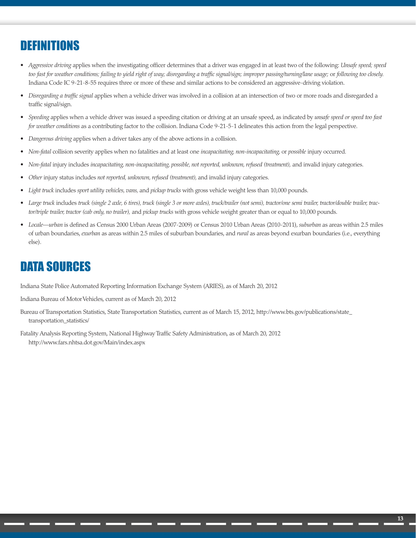## DEFINITIONS

- *Aggressive driving* applies when the investigating officer determines that a driver was engaged in at least two of the following: *Unsafe speed; speed too fast for weather conditions; failing to yield right of way; disregarding a traffic signal/sign; improper passing/turning/lane usage;* or *following too closely.* Indiana Code IC 9-21-8-55 requires three or more of these and similar actions to be considered an aggressive-driving violation.
- *Disregarding a traffic signal* applies when a vehicle driver was involved in a collision at an intersection of two or more roads and disregarded a traffic signal/sign.
- *Speeding* applies when a vehicle driver was issued a speeding citation or driving at an unsafe speed, as indicated by *unsafe speed or speed too fast for weather conditions* as a contributing factor to the collision. Indiana Code 9-21-5-1 delineates this action from the legal perspective.
- *Dangerous driving* applies when a driver takes any of the above actions in a collision.
- *Non-fatal* collision severity applies when no fatalities and at least one *incapacitating, non-incapacitating,* or *possible* injury occurred.
- *Non-fatal* injury includes *incapacitating, non-incapacitating, possible, not reported, unknown, refused (treatment),* and invalid injury categories.
- *Other* injury status includes *not reported, unknown, refused (treatment),* and invalid injury categories.
- *Light truck* includes *sport utility vehicles, vans,* and *pickup trucks* with gross vehicle weight less than 10,000 pounds.
- *Large truck* includes *truck (single 2 axle, 6 tires), truck (single 3 or more axles), truck/trailer (not semi), tractor/one semi trailer, tractor/double trailer, tractor/triple trailer, tractor (cab only, no trailer),* and *pickup trucks* with gross vehicle weight greater than or equal to 10,000 pounds.
- *Locale—urban* is defined as Census 2000 Urban Areas (2007-2009) or Census 2010 Urban Areas (2010-2011), *suburban* as areas within 2.5 miles of urban boundaries, *exurban* as areas within 2.5 miles of suburban boundaries, and *rural* as areas beyond exurban boundaries (i.e., everything else).

## DATA SOURCES

Indiana State Police Automated Reporting Information Exchange System (ARIES), as of March 20, 2012

Indiana Bureau of Motor Vehicles, current as of March 20, 2012

- Bureau of Transportation Statistics, State Transportation Statistics, current as of March 15, 2012, http://www.bts.gov/publications/state\_ transportation\_statistics/
- Fatality Analysis Reporting System, National Highway Traffic Safety Administration, as of March 20, 2012 http://www.fars.nhtsa.dot.gov/Main/index.aspx